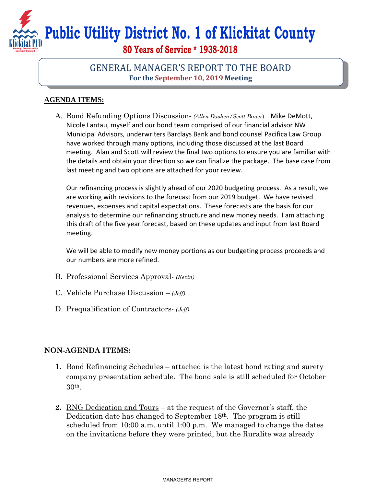## **Public Utility District No. 1 of Klickitat County**

**80 Years of Service \* 1938-2018** 

## GENERAL MANAGER'S REPORT TO THE BOARD **For the September 10, 2019 Meeting**

## **AGENDA ITEMS:**

A. Bond Refunding Options Discussion- *(Allen Dashen/Scott Bauer*) - Mike DeMott, Nicole Lantau, myself and our bond team comprised of our financial advisor NW Municipal Advisors, underwriters Barclays Bank and bond counsel Pacifica Law Group have worked through many options, including those discussed at the last Board meeting. Alan and Scott will review the final two options to ensure you are familiar with the details and obtain your direction so we can finalize the package. The base case from last meeting and two options are attached for your review.

Our refinancing process is slightly ahead of our 2020 budgeting process. As a result, we are working with revisions to the forecast from our 2019 budget. We have revised revenues, expenses and capital expectations. These forecasts are the basis for our analysis to determine our refinancing structure and new money needs. I am attaching this draft of the five year forecast, based on these updates and input from last Board meeting.

We will be able to modify new money portions as our budgeting process proceeds and our numbers are more refined.

- B. Professional Services Approval- *(Kevin)*
- C. Vehicle Purchase Discussion *(Jeff)*
- D. Prequalification of Contractors- *(Jeff)*

## **NON-AGENDA ITEMS:**

- **1.** Bond Refinancing Schedules attached is the latest bond rating and surety company presentation schedule. The bond sale is still scheduled for October 30th.
- **2.** RNG Dedication and Tours at the request of the Governor's staff, the Dedication date has changed to September 18th. The program is still scheduled from 10:00 a.m. until 1:00 p.m. We managed to change the dates on the invitations before they were printed, but the Ruralite was already